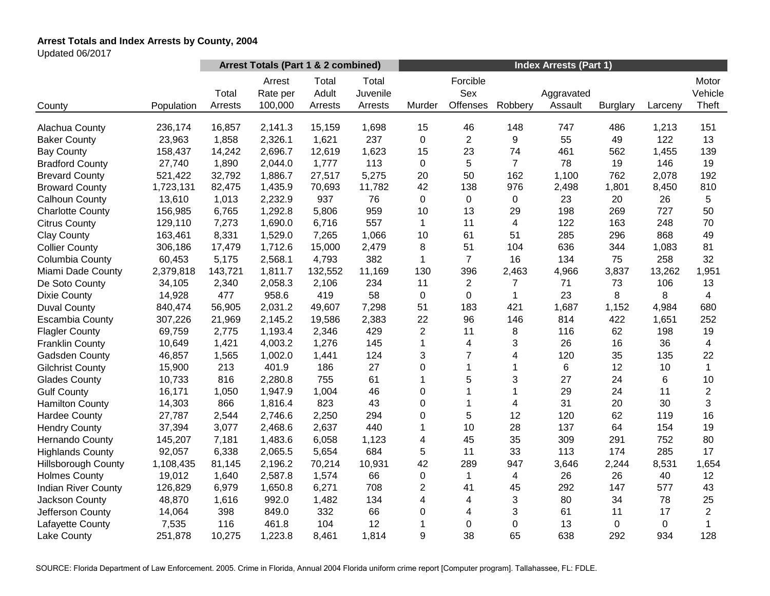# **Arrest Totals and Index Arrests by County, 2004**

Updated 06/2017

|                            |            | Arrest Totals (Part 1 & 2 combined) |                               |                           |                              | <b>Index Arrests (Part 1)</b> |                             |                |                       |                 |         |                           |
|----------------------------|------------|-------------------------------------|-------------------------------|---------------------------|------------------------------|-------------------------------|-----------------------------|----------------|-----------------------|-----------------|---------|---------------------------|
| County                     | Population | Total<br>Arrests                    | Arrest<br>Rate per<br>100,000 | Total<br>Adult<br>Arrests | Total<br>Juvenile<br>Arrests | Murder                        | Forcible<br>Sex<br>Offenses | Robbery        | Aggravated<br>Assault | <b>Burglary</b> | Larceny | Motor<br>Vehicle<br>Theft |
|                            |            |                                     |                               |                           |                              |                               |                             |                |                       |                 |         |                           |
| Alachua County             | 236,174    | 16,857                              | 2,141.3                       | 15,159                    | 1,698                        | 15                            | 46                          | 148            | 747                   | 486             | 1,213   | 151                       |
| <b>Baker County</b>        | 23,963     | 1,858                               | 2,326.1                       | 1,621                     | 237                          | $\mathbf 0$                   | $\overline{c}$              | 9              | 55                    | 49              | 122     | 13                        |
| <b>Bay County</b>          | 158,437    | 14,242                              | 2,696.7                       | 12,619                    | 1,623                        | 15                            | 23                          | 74             | 461                   | 562             | 1,455   | 139                       |
| <b>Bradford County</b>     | 27,740     | 1,890                               | 2,044.0                       | 1,777                     | 113                          | 0                             | 5                           | $\overline{7}$ | 78                    | 19              | 146     | 19                        |
| <b>Brevard County</b>      | 521,422    | 32,792                              | 1,886.7                       | 27,517                    | 5,275                        | 20                            | 50                          | 162            | 1,100                 | 762             | 2,078   | 192                       |
| <b>Broward County</b>      | 1,723,131  | 82,475                              | 1,435.9                       | 70,693                    | 11,782                       | 42                            | 138                         | 976            | 2,498                 | 1,801           | 8,450   | 810                       |
| Calhoun County             | 13,610     | 1,013                               | 2,232.9                       | 937                       | 76                           | 0                             | $\mathbf 0$                 | $\pmb{0}$      | 23                    | 20              | 26      | 5                         |
| <b>Charlotte County</b>    | 156,985    | 6,765                               | 1,292.8                       | 5,806                     | 959                          | 10                            | 13                          | 29             | 198                   | 269             | 727     | 50                        |
| <b>Citrus County</b>       | 129,110    | 7,273                               | 1,690.0                       | 6,716                     | 557                          | $\mathbf{1}$                  | 11                          | 4              | 122                   | 163             | 248     | 70                        |
| <b>Clay County</b>         | 163,461    | 8,331                               | 1,529.0                       | 7,265                     | 1,066                        | 10                            | 61                          | 51             | 285                   | 296             | 868     | 49                        |
| <b>Collier County</b>      | 306,186    | 17,479                              | 1,712.6                       | 15,000                    | 2,479                        | 8                             | 51                          | 104            | 636                   | 344             | 1,083   | 81                        |
| Columbia County            | 60,453     | 5,175                               | 2,568.1                       | 4,793                     | 382                          | $\mathbf{1}$                  | $\overline{7}$              | 16             | 134                   | 75              | 258     | 32                        |
| Miami Dade County          | 2,379,818  | 143,721                             | 1,811.7                       | 132,552                   | 11,169                       | 130                           | 396                         | 2,463          | 4,966                 | 3,837           | 13,262  | 1,951                     |
| De Soto County             | 34,105     | 2,340                               | 2,058.3                       | 2,106                     | 234                          | 11                            | $\overline{c}$              | 7              | 71                    | 73              | 106     | 13                        |
| <b>Dixie County</b>        | 14,928     | 477                                 | 958.6                         | 419                       | 58                           | $\boldsymbol{0}$              | 0                           | 1              | 23                    | 8               | 8       | $\overline{4}$            |
| <b>Duval County</b>        | 840,474    | 56,905                              | 2,031.2                       | 49,607                    | 7,298                        | 51                            | 183                         | 421            | 1,687                 | 1,152           | 4,984   | 680                       |
| <b>Escambia County</b>     | 307,226    | 21,969                              | 2,145.2                       | 19,586                    | 2,383                        | 22                            | 96                          | 146            | 814                   | 422             | 1,651   | 252                       |
| <b>Flagler County</b>      | 69,759     | 2,775                               | 1,193.4                       | 2,346                     | 429                          | $\overline{c}$                | 11                          | 8              | 116                   | 62              | 198     | 19                        |
| <b>Franklin County</b>     | 10,649     | 1,421                               | 4,003.2                       | 1,276                     | 145                          | 1                             | 4                           | 3              | 26                    | 16              | 36      | $\overline{4}$            |
| Gadsden County             | 46,857     | 1,565                               | 1,002.0                       | 1,441                     | 124                          | 3                             | $\overline{7}$              | 4              | 120                   | 35              | 135     | 22                        |
| <b>Gilchrist County</b>    | 15,900     | 213                                 | 401.9                         | 186                       | 27                           | 0                             | 1                           | 1              | 6                     | 12              | 10      | $\mathbf{1}$              |
| <b>Glades County</b>       | 10,733     | 816                                 | 2,280.8                       | 755                       | 61                           | 1                             | 5                           | 3              | 27                    | 24              | 6       | 10                        |
| <b>Gulf County</b>         | 16,171     | 1,050                               | 1,947.9                       | 1,004                     | 46                           | 0                             |                             | 1              | 29                    | 24              | 11      | $\overline{c}$            |
| <b>Hamilton County</b>     | 14,303     | 866                                 | 1,816.4                       | 823                       | 43                           | 0                             | $\mathbf{1}$                | 4              | 31                    | 20              | 30      | 3                         |
| <b>Hardee County</b>       | 27,787     | 2,544                               | 2,746.6                       | 2,250                     | 294                          | 0                             | 5                           | 12             | 120                   | 62              | 119     | 16                        |
| <b>Hendry County</b>       | 37,394     | 3,077                               | 2,468.6                       | 2,637                     | 440                          | 1                             | 10                          | 28             | 137                   | 64              | 154     | 19                        |
| <b>Hernando County</b>     | 145,207    | 7,181                               | 1,483.6                       | 6,058                     | 1,123                        | 4                             | 45                          | 35             | 309                   | 291             | 752     | 80                        |
| <b>Highlands County</b>    | 92,057     | 6,338                               | 2,065.5                       | 5,654                     | 684                          | 5                             | 11                          | 33             | 113                   | 174             | 285     | 17                        |
| <b>Hillsborough County</b> | 1,108,435  | 81,145                              | 2,196.2                       | 70,214                    | 10,931                       | 42                            | 289                         | 947            | 3,646                 | 2,244           | 8,531   | 1,654                     |
| <b>Holmes County</b>       | 19,012     | 1,640                               | 2,587.8                       | 1,574                     | 66                           | 0                             | $\mathbf{1}$                | 4              | 26                    | 26              | 40      | 12                        |
| <b>Indian River County</b> | 126,829    | 6,979                               | 1,650.8                       | 6,271                     | 708                          | $\overline{c}$                | 41                          | 45             | 292                   | 147             | 577     | 43                        |
| Jackson County             | 48,870     | 1,616                               | 992.0                         | 1,482                     | 134                          | 4                             | 4                           | 3              | 80                    | 34              | 78      | 25                        |
| Jefferson County           | 14,064     | 398                                 | 849.0                         | 332                       | 66                           | 0                             | 4                           | 3              | 61                    | 11              | 17      | $\overline{2}$            |
| Lafayette County           | 7,535      | 116                                 | 461.8                         | 104                       | 12                           | 1                             | 0                           | 0              | 13                    | 0               | 0       | $\mathbf{1}$              |
| Lake County                | 251,878    | 10,275                              | 1,223.8                       | 8,461                     | 1,814                        | 9                             | 38                          | 65             | 638                   | 292             | 934     | 128                       |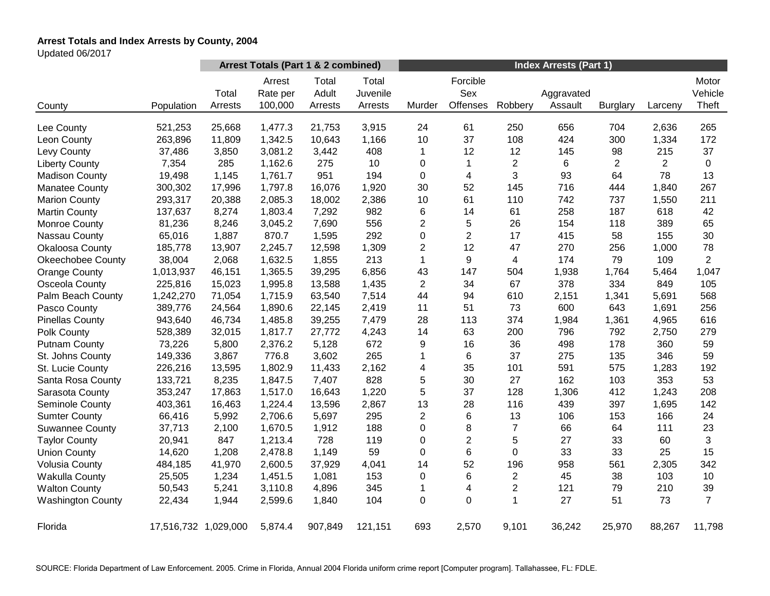# **Arrest Totals and Index Arrests by County, 2004**

Updated 06/2017

|                          |                      | Arrest Totals (Part 1 & 2 combined) |                               |                           |                              | <b>Index Arrests (Part 1)</b> |                             |                |                       |                 |                |                           |
|--------------------------|----------------------|-------------------------------------|-------------------------------|---------------------------|------------------------------|-------------------------------|-----------------------------|----------------|-----------------------|-----------------|----------------|---------------------------|
| County                   | Population           | Total<br>Arrests                    | Arrest<br>Rate per<br>100,000 | Total<br>Adult<br>Arrests | Total<br>Juvenile<br>Arrests | Murder                        | Forcible<br>Sex<br>Offenses | Robbery        | Aggravated<br>Assault | <b>Burglary</b> | Larceny        | Motor<br>Vehicle<br>Theft |
| Lee County               | 521,253              | 25,668                              | 1,477.3                       | 21,753                    | 3,915                        | 24                            | 61                          | 250            | 656                   | 704             | 2,636          | 265                       |
| Leon County              | 263,896              | 11,809                              | 1,342.5                       | 10,643                    | 1,166                        | 10                            | 37                          | 108            | 424                   | 300             | 1,334          | 172                       |
| Levy County              | 37,486               | 3,850                               | 3,081.2                       | 3,442                     | 408                          | 1                             | 12                          | 12             | 145                   | 98              | 215            | 37                        |
| <b>Liberty County</b>    | 7,354                | 285                                 | 1,162.6                       | 275                       | 10                           | 0                             | 1                           | $\overline{c}$ | 6                     | $\overline{2}$  | $\overline{2}$ | 0                         |
| <b>Madison County</b>    | 19,498               | 1,145                               | 1,761.7                       | 951                       | 194                          | 0                             | 4                           | 3              | 93                    | 64              | 78             | 13                        |
| <b>Manatee County</b>    | 300,302              | 17,996                              | 1,797.8                       | 16,076                    | 1,920                        | 30                            | 52                          | 145            | 716                   | 444             | 1,840          | 267                       |
| <b>Marion County</b>     | 293,317              | 20,388                              | 2,085.3                       | 18,002                    | 2,386                        | 10                            | 61                          | 110            | 742                   | 737             | 1,550          | 211                       |
| <b>Martin County</b>     | 137,637              | 8,274                               | 1,803.4                       | 7,292                     | 982                          | 6                             | 14                          | 61             | 258                   | 187             | 618            | 42                        |
| Monroe County            | 81,236               | 8,246                               | 3,045.2                       | 7,690                     | 556                          | $\overline{\mathbf{c}}$       | 5                           | 26             | 154                   | 118             | 389            | 65                        |
| Nassau County            | 65,016               | 1,887                               | 870.7                         | 1,595                     | 292                          | 0                             | $\overline{2}$              | 17             | 415                   | 58              | 155            | 30                        |
| Okaloosa County          | 185,778              | 13,907                              | 2,245.7                       | 12,598                    | 1,309                        | $\overline{c}$                | 12                          | 47             | 270                   | 256             | 1,000          | 78                        |
| <b>Okeechobee County</b> | 38,004               | 2,068                               | 1,632.5                       | 1,855                     | 213                          | $\mathbf{1}$                  | 9                           | 4              | 174                   | 79              | 109            | $\overline{2}$            |
| <b>Orange County</b>     | 1,013,937            | 46,151                              | 1,365.5                       | 39,295                    | 6,856                        | 43                            | 147                         | 504            | 1,938                 | 1,764           | 5,464          | 1,047                     |
| Osceola County           | 225,816              | 15,023                              | 1,995.8                       | 13,588                    | 1,435                        | 2                             | 34                          | 67             | 378                   | 334             | 849            | 105                       |
| Palm Beach County        | 1,242,270            | 71,054                              | 1,715.9                       | 63,540                    | 7,514                        | 44                            | 94                          | 610            | 2,151                 | 1,341           | 5,691          | 568                       |
| Pasco County             | 389,776              | 24,564                              | 1,890.6                       | 22,145                    | 2,419                        | 11                            | 51                          | 73             | 600                   | 643             | 1,691          | 256                       |
| <b>Pinellas County</b>   | 943,640              | 46,734                              | 1,485.8                       | 39,255                    | 7,479                        | 28                            | 113                         | 374            | 1,984                 | 1,361           | 4,965          | 616                       |
| Polk County              | 528,389              | 32,015                              | 1,817.7                       | 27,772                    | 4,243                        | 14                            | 63                          | 200            | 796                   | 792             | 2,750          | 279                       |
| <b>Putnam County</b>     | 73,226               | 5,800                               | 2,376.2                       | 5,128                     | 672                          | 9                             | 16                          | 36             | 498                   | 178             | 360            | 59                        |
| St. Johns County         | 149,336              | 3,867                               | 776.8                         | 3,602                     | 265                          | 1                             | 6                           | 37             | 275                   | 135             | 346            | 59                        |
| St. Lucie County         | 226,216              | 13,595                              | 1,802.9                       | 11,433                    | 2,162                        | 4                             | 35                          | 101            | 591                   | 575             | 1,283          | 192                       |
| Santa Rosa County        | 133,721              | 8,235                               | 1,847.5                       | 7,407                     | 828                          | 5                             | 30                          | 27             | 162                   | 103             | 353            | 53                        |
| Sarasota County          | 353,247              | 17,863                              | 1,517.0                       | 16,643                    | 1,220                        | 5                             | 37                          | 128            | 1,306                 | 412             | 1,243          | 208                       |
| Seminole County          | 403,361              | 16,463                              | 1,224.4                       | 13,596                    | 2,867                        | 13                            | 28                          | 116            | 439                   | 397             | 1,695          | 142                       |
| <b>Sumter County</b>     | 66,416               | 5,992                               | 2,706.6                       | 5,697                     | 295                          | $\overline{c}$                | 6                           | 13             | 106                   | 153             | 166            | 24                        |
| <b>Suwannee County</b>   | 37,713               | 2,100                               | 1,670.5                       | 1,912                     | 188                          | 0                             | 8                           | $\overline{7}$ | 66                    | 64              | 111            | 23                        |
| <b>Taylor County</b>     | 20,941               | 847                                 | 1,213.4                       | 728                       | 119                          | 0                             | $\overline{2}$              | 5              | 27                    | 33              | 60             | 3                         |
| <b>Union County</b>      | 14,620               | 1,208                               | 2,478.8                       | 1,149                     | 59                           | 0                             | 6                           | 0              | 33                    | 33              | 25             | 15                        |
| <b>Volusia County</b>    | 484,185              | 41,970                              | 2,600.5                       | 37,929                    | 4,041                        | 14                            | 52                          | 196            | 958                   | 561             | 2,305          | 342                       |
| <b>Wakulla County</b>    | 25,505               | 1,234                               | 1,451.5                       | 1,081                     | 153                          | 0                             | 6                           | 2              | 45                    | 38              | 103            | 10                        |
| <b>Walton County</b>     | 50,543               | 5,241                               | 3,110.8                       | 4,896                     | 345                          | 1                             | 4                           | $\overline{c}$ | 121                   | 79              | 210            | 39                        |
| <b>Washington County</b> | 22,434               | 1,944                               | 2,599.6                       | 1,840                     | 104                          | 0                             | 0                           | 1              | 27                    | 51              | 73             | $\overline{7}$            |
| Florida                  | 17,516,732 1,029,000 |                                     | 5,874.4                       | 907,849                   | 121,151                      | 693                           | 2,570                       | 9,101          | 36,242                | 25,970          | 88,267         | 11,798                    |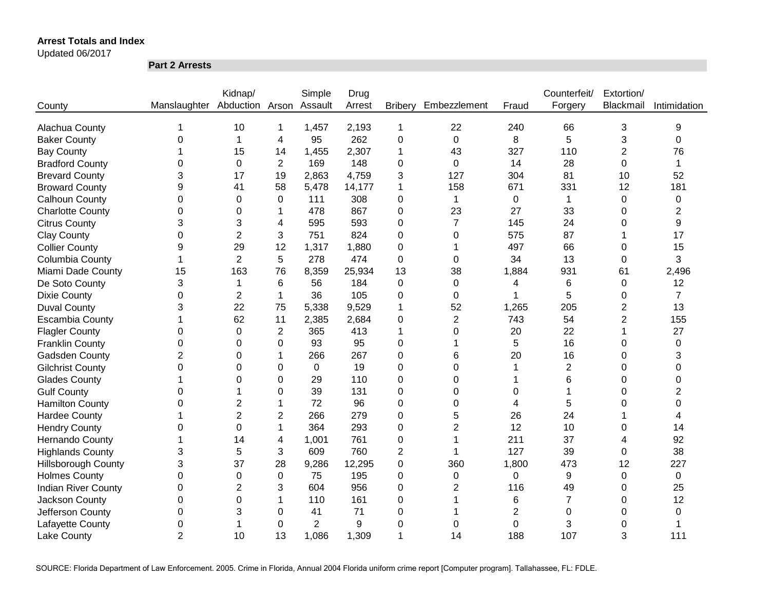Updated 06/2017

**Part 2 Arrests**

|                            |                              | Kidnap/        |                | Simple         | Drug   |                |                |                | Counterfeit/   | Extortion/     |                |
|----------------------------|------------------------------|----------------|----------------|----------------|--------|----------------|----------------|----------------|----------------|----------------|----------------|
| County                     | Manslaughter Abduction Arson |                |                | Assault        | Arrest | <b>Bribery</b> | Embezzlement   | Fraud          | Forgery        | Blackmail      | Intimidation   |
|                            |                              |                |                |                |        |                |                |                |                |                |                |
| Alachua County             |                              | 10             | 1              | 1,457          | 2,193  | 1              | 22             | 240            | 66             | 3              | 9              |
| <b>Baker County</b>        | 0                            |                | 4              | 95             | 262    | $\mathbf 0$    | $\mathbf 0$    | 8              | 5              | 3              | $\mathbf 0$    |
| <b>Bay County</b>          |                              | 15             | 14             | 1,455          | 2,307  | 1              | 43             | 327            | 110            | $\overline{2}$ | 76             |
| <b>Bradford County</b>     | 0                            | $\mathbf 0$    | $\overline{2}$ | 169            | 148    | 0              | $\mathbf 0$    | 14             | 28             | 0              | 1              |
| <b>Brevard County</b>      | 3                            | 17             | 19             | 2,863          | 4,759  | 3              | 127            | 304            | 81             | 10             | 52             |
| <b>Broward County</b>      | 9                            | 41             | 58             | 5,478          | 14,177 | 1              | 158            | 671            | 331            | 12             | 181            |
| Calhoun County             | $\mathbf 0$                  | $\Omega$       | $\Omega$       | 111            | 308    | 0              | 1              | $\mathbf 0$    | $\mathbf{1}$   | 0              | 0              |
| <b>Charlotte County</b>    | 0                            | 0              | 1              | 478            | 867    | 0              | 23             | 27             | 33             | 0              | 2              |
| <b>Citrus County</b>       | 3                            | 3              | 4              | 595            | 593    | 0              | $\overline{7}$ | 145            | 24             | 0              | 9              |
| <b>Clay County</b>         | 0                            | 2              | 3              | 751            | 824    | 0              | 0              | 575            | 87             | 1              | 17             |
| <b>Collier County</b>      | 9                            | 29             | 12             | 1,317          | 1,880  | 0              |                | 497            | 66             | 0              | 15             |
| Columbia County            | 1                            | $\overline{2}$ | 5              | 278            | 474    | 0              | 0              | 34             | 13             | 0              | 3              |
| Miami Dade County          | 15                           | 163            | 76             | 8,359          | 25,934 | 13             | 38             | 1,884          | 931            | 61             | 2,496          |
| De Soto County             | 3                            |                | 6              | 56             | 184    | 0              | 0              | 4              | 6              | 0              | 12             |
| <b>Dixie County</b>        | $\overline{0}$               | $\overline{2}$ | 1              | 36             | 105    | 0              | $\Omega$       |                | 5              | 0              | $\overline{7}$ |
| <b>Duval County</b>        | 3                            | 22             | 75             | 5,338          | 9,529  | 1              | 52             | 1,265          | 205            | $\overline{2}$ | 13             |
| <b>Escambia County</b>     |                              | 62             | 11             | 2,385          | 2,684  | 0              | $\overline{2}$ | 743            | 54             | $\overline{2}$ | 155            |
| <b>Flagler County</b>      | 0                            | $\Omega$       | 2              | 365            | 413    | 1              | 0              | 20             | 22             |                | 27             |
| <b>Franklin County</b>     | 0                            | $\Omega$       | 0              | 93             | 95     | 0              |                | 5              | 16             | 0              | 0              |
| <b>Gadsden County</b>      | $\overline{2}$               | 0              | 1              | 266            | 267    | $\overline{0}$ | 6              | 20             | 16             | 0              | 3              |
| <b>Gilchrist County</b>    | 0                            | $\Omega$       | 0              | 0              | 19     | 0              | $\Omega$       |                | $\overline{2}$ | 0              | $\Omega$       |
| <b>Glades County</b>       |                              | $\Omega$       | 0              | 29             | 110    | 0              | $\Omega$       |                | 6              | 0              | $\Omega$       |
| <b>Gulf County</b>         | 0                            |                | 0              | 39             | 131    | 0              | $\Omega$       | 0              | 1              | 0              | 2              |
| <b>Hamilton County</b>     | 0                            | 2              | 1              | 72             | 96     | 0              | 0              | 4              | 5              | 0              | 0              |
| <b>Hardee County</b>       |                              | $\overline{2}$ | $\overline{c}$ | 266            | 279    | 0              | 5              | 26             | 24             |                | 4              |
| <b>Hendry County</b>       | 0                            | 0              | 1              | 364            | 293    | 0              | 2              | 12             | 10             | 0              | 14             |
| Hernando County            |                              | 14             | 4              | 1,001          | 761    | 0              | 1              | 211            | 37             | 4              | 92             |
| <b>Highlands County</b>    | 3                            | 5              | 3              | 609            | 760    | 2              | 1              | 127            | 39             | 0              | 38             |
| <b>Hillsborough County</b> | 3                            | 37             | 28             | 9,286          | 12,295 | $\mathbf 0$    | 360            | 1,800          | 473            | 12             | 227            |
| <b>Holmes County</b>       | $\mathbf 0$                  | 0              | 0              | 75             | 195    | $\mathbf 0$    | 0              | 0              | 9              | 0              | $\mathbf 0$    |
| <b>Indian River County</b> | 0                            | $\overline{2}$ | 3              | 604            | 956    | 0              | $\overline{2}$ | 116            | 49             | 0              | 25             |
| Jackson County             | 0                            | 0              |                | 110            | 161    | 0              |                | 6              | $\overline{7}$ | 0              | 12             |
| Jefferson County           | 0                            | 3              | 0              | 41             | 71     | 0              |                | $\overline{2}$ | 0              | 0              | 0              |
| Lafayette County           | 0                            |                | 0              | $\overline{2}$ | 9      | 0              | 0              | 0              | 3              | 0              |                |
| <b>Lake County</b>         | $\overline{2}$               | 10             | 13             | 1,086          | 1,309  | 1              | 14             | 188            | 107            | 3              | 111            |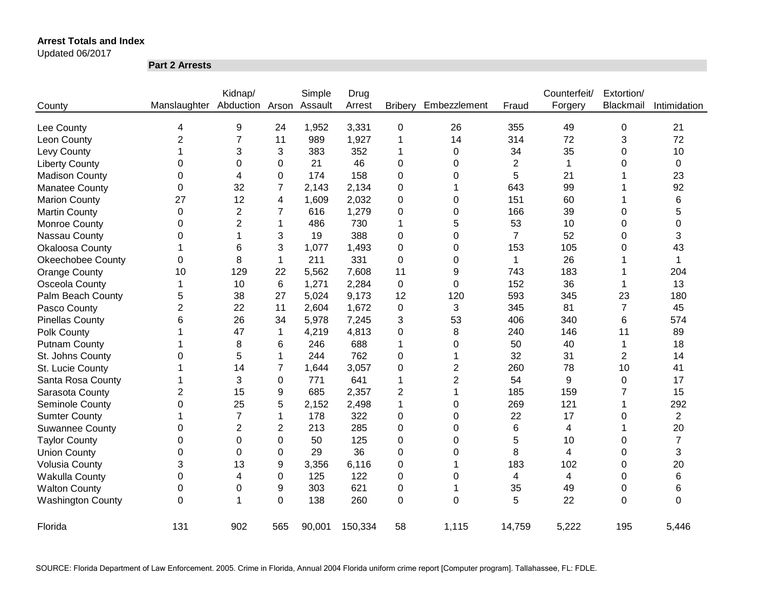Updated 06/2017

**Part 2 Arrests**

|                          |                | Kidnap/        |                | Simple  | Drug    |                |                |                | Counterfeit/ | Extortion/     |                |
|--------------------------|----------------|----------------|----------------|---------|---------|----------------|----------------|----------------|--------------|----------------|----------------|
| County                   | Manslaughter   | Abduction      | Arson          | Assault | Arrest  | <b>Bribery</b> | Embezzlement   | Fraud          | Forgery      | Blackmail      | Intimidation   |
| Lee County               | 4              | 9              | 24             | 1,952   | 3,331   | 0              | 26             | 355            | 49           | 0              | 21             |
| Leon County              | $\overline{2}$ | $\overline{7}$ | 11             | 989     | 1,927   | 1              | 14             | 314            | 72           | 3              | 72             |
| Levy County              |                | 3              | 3              | 383     | 352     | 1              | 0              | 34             | 35           | 0              | 10             |
| <b>Liberty County</b>    | 0              | 0              | 0              | 21      | 46      | 0              | 0              | $\overline{2}$ | $\mathbf{1}$ | 0              | 0              |
| <b>Madison County</b>    | 0              | 4              | 0              | 174     | 158     | 0              | 0              | 5              | 21           |                | 23             |
| <b>Manatee County</b>    | 0              | 32             | $\overline{7}$ | 2,143   | 2,134   | 0              |                | 643            | 99           |                | 92             |
| <b>Marion County</b>     | 27             | 12             | 4              | 1,609   | 2,032   | 0              | 0              | 151            | 60           |                | 6              |
| <b>Martin County</b>     | 0              | $\overline{2}$ | 7              | 616     | 1,279   | 0              | 0              | 166            | 39           | 0              | 5              |
| Monroe County            | 0              | $\overline{2}$ | 1              | 486     | 730     | 1              | 5              | 53             | 10           | 0              | 0              |
| Nassau County            | 0              | 1              | 3              | 19      | 388     | 0              | $\mathbf 0$    | $\overline{7}$ | 52           | 0              | 3              |
| Okaloosa County          | 1              | 6              | 3              | 1,077   | 1,493   | 0              | 0              | 153            | 105          | $\Omega$       | 43             |
| <b>Okeechobee County</b> | 0              | 8              | $\mathbf 1$    | 211     | 331     | 0              | 0              | 1              | 26           |                | 1              |
| <b>Orange County</b>     | 10             | 129            | 22             | 5,562   | 7,608   | 11             | 9              | 743            | 183          |                | 204            |
| Osceola County           | 1              | 10             | 6              | 1,271   | 2,284   | $\pmb{0}$      | 0              | 152            | 36           | 1              | 13             |
| Palm Beach County        | 5              | 38             | 27             | 5,024   | 9,173   | 12             | 120            | 593            | 345          | 23             | 180            |
| Pasco County             | $\overline{2}$ | 22             | 11             | 2,604   | 1,672   | 0              | 3              | 345            | 81           | $\overline{7}$ | 45             |
| <b>Pinellas County</b>   | 6              | 26             | 34             | 5,978   | 7,245   | 3              | 53             | 406            | 340          | 6              | 574            |
| Polk County              |                | 47             | $\mathbf{1}$   | 4,219   | 4,813   | 0              | 8              | 240            | 146          | 11             | 89             |
| <b>Putnam County</b>     |                | 8              | 6              | 246     | 688     | 1              | 0              | 50             | 40           | 1              | 18             |
| St. Johns County         | 0              | 5              | 1              | 244     | 762     | 0              | 1              | 32             | 31           | $\overline{2}$ | 14             |
| St. Lucie County         |                | 14             | 7              | 1,644   | 3,057   | 0              | $\overline{2}$ | 260            | 78           | 10             | 41             |
| Santa Rosa County        |                | 3              | 0              | 771     | 641     | 1              | $\overline{2}$ | 54             | 9            | 0              | 17             |
| Sarasota County          | 2              | 15             | 9              | 685     | 2,357   | 2              | 1              | 185            | 159          | 7              | 15             |
| Seminole County          | 0              | 25             | 5              | 2,152   | 2,498   | 1              | 0              | 269            | 121          |                | 292            |
| <b>Sumter County</b>     |                | 7              | 1              | 178     | 322     | 0              | 0              | 22             | 17           | 0              | $\overline{2}$ |
| <b>Suwannee County</b>   | 0              | $\overline{2}$ | 2              | 213     | 285     | 0              | 0              | 6              | 4            |                | 20             |
| <b>Taylor County</b>     | 0              | 0              | $\Omega$       | 50      | 125     | 0              | 0              | 5              | 10           | 0              | $\overline{7}$ |
| <b>Union County</b>      | 0              | 0              | 0              | 29      | 36      | 0              | 0              | 8              | 4            | 0              | 3              |
| <b>Volusia County</b>    | 3              | 13             | 9              | 3,356   | 6,116   | 0              | 1              | 183            | 102          | 0              | 20             |
| Wakulla County           | 0              | 4              | 0              | 125     | 122     | 0              | 0              | 4              | 4            | 0              | 6              |
| <b>Walton County</b>     | 0              | 0              | 9              | 303     | 621     | 0              | -1             | 35             | 49           | 0              | 6              |
| <b>Washington County</b> | $\mathbf 0$    | 1              | $\mathbf 0$    | 138     | 260     | $\overline{0}$ | $\Omega$       | 5              | 22           | $\overline{0}$ | $\Omega$       |
| Florida                  | 131            | 902            | 565            | 90,001  | 150,334 | 58             | 1,115          | 14,759         | 5,222        | 195            | 5,446          |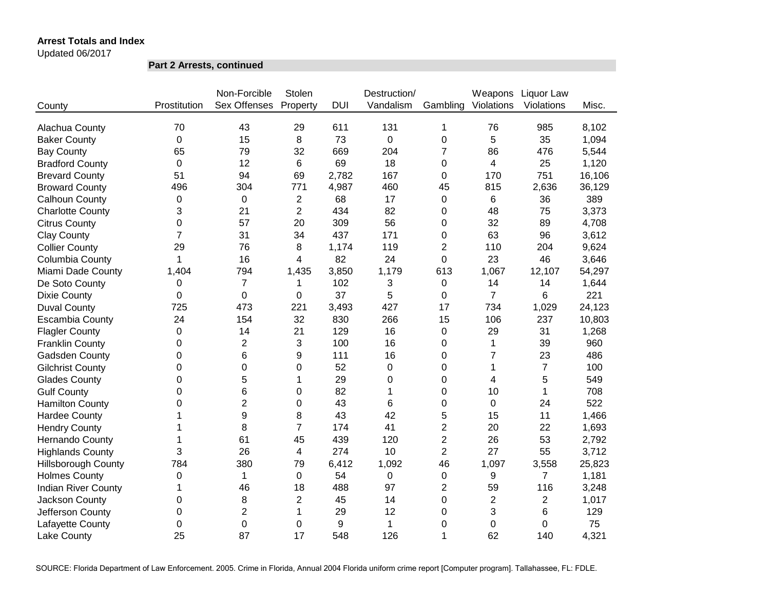Updated 06/2017

**Part 2 Arrests, continued**

|                            |              | Non-Forcible   | Stolen                  |            | Destruction/     |                | Weapons        | Liquor Law     |        |
|----------------------------|--------------|----------------|-------------------------|------------|------------------|----------------|----------------|----------------|--------|
| County                     | Prostitution | Sex Offenses   | Property                | <b>DUI</b> | Vandalism        | Gambling       | Violations     | Violations     | Misc.  |
|                            |              |                |                         |            |                  |                |                |                |        |
| Alachua County             | 70           | 43             | 29                      | 611        | 131              | 1              | 76             | 985            | 8,102  |
| <b>Baker County</b>        | 0            | 15             | 8                       | 73         | 0                | 0              | 5              | 35             | 1,094  |
| <b>Bay County</b>          | 65           | 79             | 32                      | 669        | 204              | 7              | 86             | 476            | 5,544  |
| <b>Bradford County</b>     | 0            | 12             | 6                       | 69         | 18               | 0              | 4              | 25             | 1,120  |
| <b>Brevard County</b>      | 51           | 94             | 69                      | 2,782      | 167              | 0              | 170            | 751            | 16,106 |
| <b>Broward County</b>      | 496          | 304            | 771                     | 4,987      | 460              | 45             | 815            | 2,636          | 36,129 |
| Calhoun County             | 0            | 0              | $\overline{\mathbf{c}}$ | 68         | 17               | 0              | 6              | 36             | 389    |
| <b>Charlotte County</b>    | 3            | 21             | $\overline{2}$          | 434        | 82               | 0              | 48             | 75             | 3,373  |
| <b>Citrus County</b>       | 0            | 57             | 20                      | 309        | 56               | 0              | 32             | 89             | 4,708  |
| <b>Clay County</b>         | 7            | 31             | 34                      | 437        | 171              | 0              | 63             | 96             | 3,612  |
| <b>Collier County</b>      | 29           | 76             | 8                       | 1,174      | 119              | 2              | 110            | 204            | 9,624  |
| Columbia County            | 1            | 16             | 4                       | 82         | 24               | 0              | 23             | 46             | 3,646  |
| Miami Dade County          | 1,404        | 794            | 1,435                   | 3,850      | 1,179            | 613            | 1,067          | 12,107         | 54,297 |
| De Soto County             | 0            | $\overline{7}$ | 1                       | 102        | 3                | 0              | 14             | 14             | 1,644  |
| <b>Dixie County</b>        | 0            | 0              | 0                       | 37         | 5                | 0              | $\overline{7}$ | 6              | 221    |
| <b>Duval County</b>        | 725          | 473            | 221                     | 3,493      | 427              | 17             | 734            | 1,029          | 24,123 |
| <b>Escambia County</b>     | 24           | 154            | 32                      | 830        | 266              | 15             | 106            | 237            | 10,803 |
| <b>Flagler County</b>      | $\Omega$     | 14             | 21                      | 129        | 16               | 0              | 29             | 31             | 1,268  |
| <b>Franklin County</b>     | 0            | $\overline{2}$ | 3                       | 100        | 16               | 0              | 1              | 39             | 960    |
| <b>Gadsden County</b>      | 0            | 6              | 9                       | 111        | 16               | 0              | $\overline{7}$ | 23             | 486    |
| <b>Gilchrist County</b>    | 0            | 0              | 0                       | 52         | 0                | 0              | 1              | $\overline{7}$ | 100    |
| <b>Glades County</b>       | $\Omega$     | 5              | 1                       | 29         | 0                | 0              | 4              | 5              | 549    |
| <b>Gulf County</b>         | 0            | 6              | 0                       | 82         | 1                | 0              | 10             | 1              | 708    |
| <b>Hamilton County</b>     | 0            | $\overline{c}$ | 0                       | 43         | 6                | 0              | 0              | 24             | 522    |
| <b>Hardee County</b>       | 1            | 9              | 8                       | 43         | 42               | 5              | 15             | 11             | 1,466  |
| <b>Hendry County</b>       | 1            | 8              | $\overline{7}$          | 174        | 41               | $\overline{2}$ | 20             | 22             | 1,693  |
| Hernando County            | 1            | 61             | 45                      | 439        | 120              | $\overline{2}$ | 26             | 53             | 2,792  |
| <b>Highlands County</b>    | 3            | 26             | 4                       | 274        | 10               | 2              | 27             | 55             | 3,712  |
| <b>Hillsborough County</b> | 784          | 380            | 79                      | 6,412      | 1,092            | 46             | 1,097          | 3,558          | 25,823 |
| <b>Holmes County</b>       | $\pmb{0}$    | $\mathbf 1$    | 0                       | 54         | $\boldsymbol{0}$ | 0              | 9              | $\overline{7}$ | 1,181  |
| <b>Indian River County</b> | 1            | 46             | 18                      | 488        | 97               | $\overline{2}$ | 59             | 116            | 3,248  |
| Jackson County             | 0            | 8              | $\overline{2}$          | 45         | 14               | 0              | $\overline{2}$ | $\overline{2}$ | 1,017  |
| Jefferson County           | 0            | $\overline{2}$ | 1                       | 29         | 12               | 0              | 3              | 6              | 129    |
| Lafayette County           | 0            | 0              | 0                       | 9          | 1                | 0              | 0              | 0              | 75     |
| Lake County                | 25           | 87             | 17                      | 548        | 126              | 1              | 62             | 140            | 4,321  |